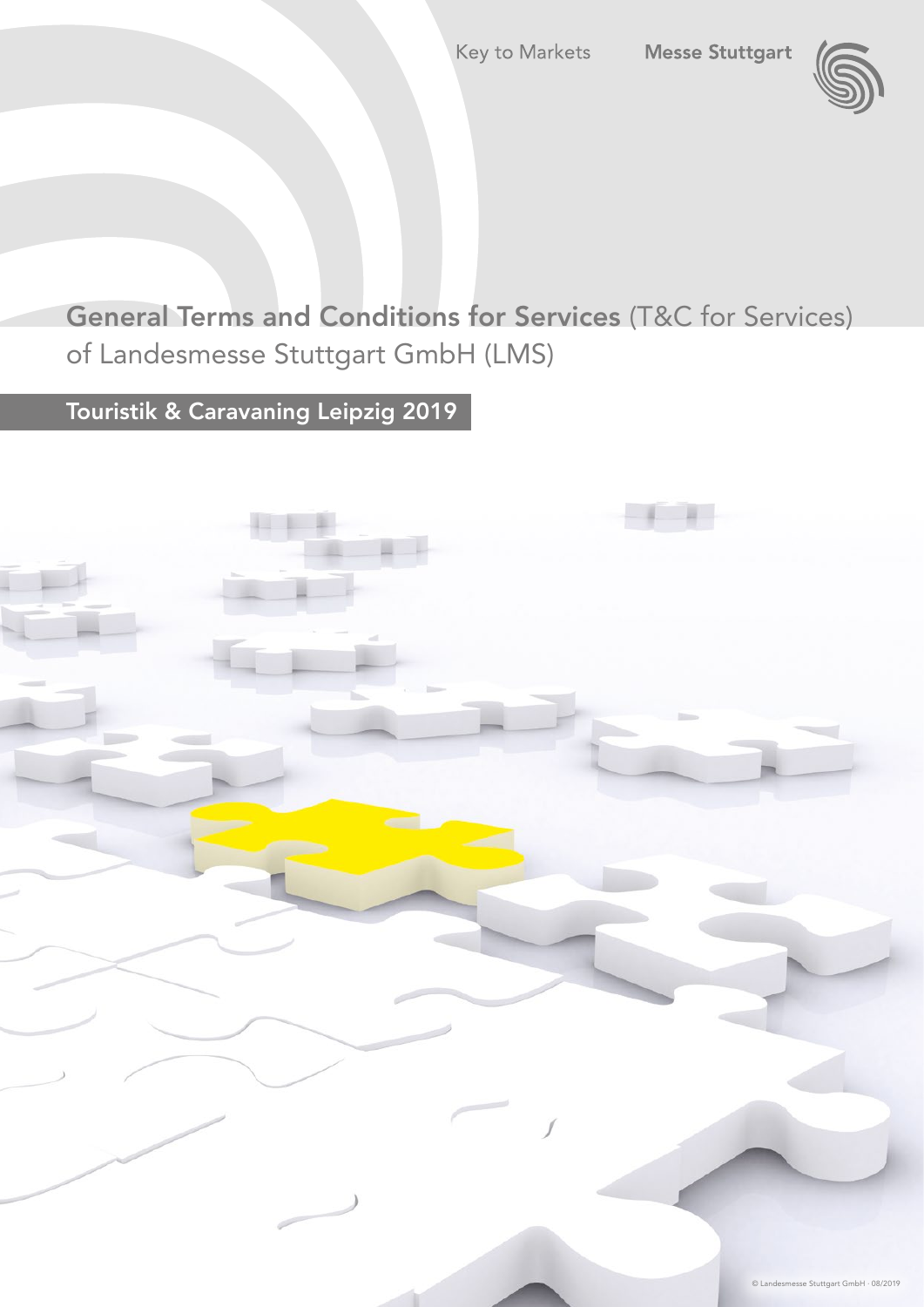

General Terms and Conditions for Services (T&C for Services) of Landesmesse Stuttgart GmbH (LMS)

Touristik & Caravaning Leipzig 2019

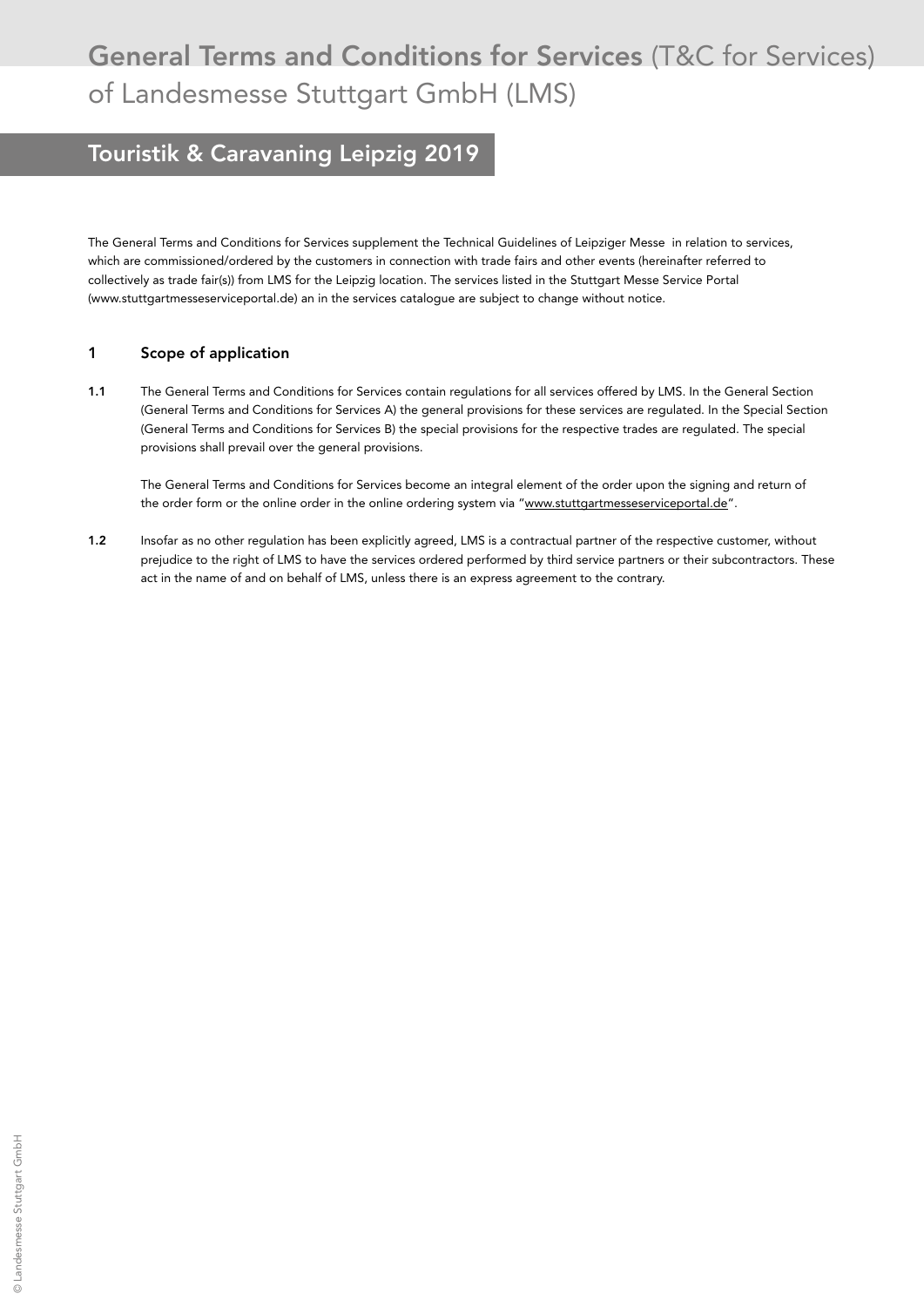## General Terms and Conditions for Services (T&C for Services) of Landesmesse Stuttgart GmbH (LMS)

## Touristik & Caravaning Leipzig 2019

The General Terms and Conditions for Services supplement the Technical Guidelines of Leipziger Messe in relation to services, which are commissioned/ordered by the customers in connection with trade fairs and other events (hereinafter referred to collectively as trade fair(s)) from LMS for the Leipzig location. The services listed in the Stuttgart Messe Service Portal ([www.stuttgartmesseserviceportal.de\)](http://www.stuttgartmesseserviceportal.de) an in the services catalogue are subject to change without notice.

### 1 Scope of application

1.1 The General Terms and Conditions for Services contain regulations for all services offered by LMS. In the General Section (General Terms and Conditions for Services A) the general provisions for these services are regulated. In the Special Section (General Terms and Conditions for Services B) the special provisions for the respective trades are regulated. The special provisions shall prevail over the general provisions.

 The General Terms and Conditions for Services become an integral element of the order upon the signing and return of the order form or the online order in the online ordering system via "www.stuttgartmesseserviceportal.de".

1.2 Insofar as no other regulation has been explicitly agreed, LMS is a contractual partner of the respective customer, without prejudice to the right of LMS to have the services ordered performed by third service partners or their subcontractors. These act in the name of and on behalf of LMS, unless there is an express agreement to the contrary.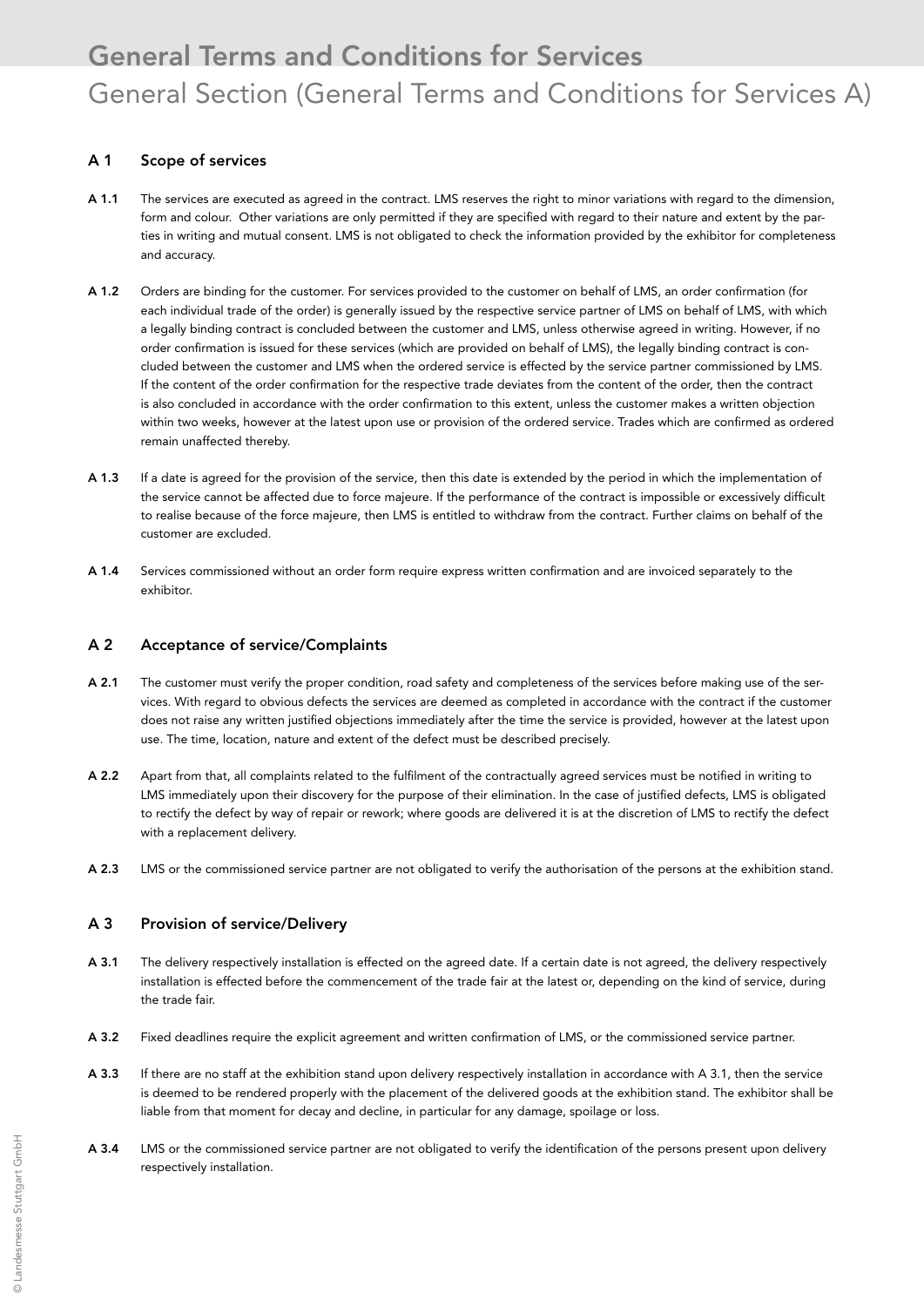## A 1 Scope of services

- A 1.1 The services are executed as agreed in the contract. LMS reserves the right to minor variations with regard to the dimension, form and colour. Other variations are only permitted if they are specified with regard to their nature and extent by the parties in writing and mutual consent. LMS is not obligated to check the information provided by the exhibitor for completeness and accuracy.
- A 1.2 Orders are binding for the customer. For services provided to the customer on behalf of LMS, an order confirmation (for each individual trade of the order) is generally issued by the respective service partner of LMS on behalf of LMS, with which a legally binding contract is concluded between the customer and LMS, unless otherwise agreed in writing. However, if no order confirmation is issued for these services (which are provided on behalf of LMS), the legally binding contract is concluded between the customer and LMS when the ordered service is effected by the service partner commissioned by LMS. If the content of the order confirmation for the respective trade deviates from the content of the order, then the contract is also concluded in accordance with the order confirmation to this extent, unless the customer makes a written objection within two weeks, however at the latest upon use or provision of the ordered service. Trades which are confirmed as ordered remain unaffected thereby.
- A 1.3 If a date is agreed for the provision of the service, then this date is extended by the period in which the implementation of the service cannot be affected due to force majeure. If the performance of the contract is impossible or excessively difficult to realise because of the force majeure, then LMS is entitled to withdraw from the contract. Further claims on behalf of the customer are excluded.
- A 1.4 Services commissioned without an order form require express written confirmation and are invoiced separately to the exhibitor.

### A 2 Acceptance of service/Complaints

- A 2.1 The customer must verify the proper condition, road safety and completeness of the services before making use of the services. With regard to obvious defects the services are deemed as completed in accordance with the contract if the customer does not raise any written justified objections immediately after the time the service is provided, however at the latest upon use. The time, location, nature and extent of the defect must be described precisely.
- A 2.2 Apart from that, all complaints related to the fulfilment of the contractually agreed services must be notified in writing to LMS immediately upon their discovery for the purpose of their elimination. In the case of justified defects, LMS is obligated to rectify the defect by way of repair or rework; where goods are delivered it is at the discretion of LMS to rectify the defect with a replacement delivery.
- A 2.3 LMS or the commissioned service partner are not obligated to verify the authorisation of the persons at the exhibition stand.

## A 3 Provision of service/Delivery

- A 3.1 The delivery respectively installation is effected on the agreed date. If a certain date is not agreed, the delivery respectively installation is effected before the commencement of the trade fair at the latest or, depending on the kind of service, during the trade fair.
- A 3.2 Fixed deadlines require the explicit agreement and written confirmation of LMS, or the commissioned service partner.
- A 3.3 If there are no staff at the exhibition stand upon delivery respectively installation in accordance with A 3.1, then the service is deemed to be rendered properly with the placement of the delivered goods at the exhibition stand. The exhibitor shall be liable from that moment for decay and decline, in particular for any damage, spoilage or loss.
- A 3.4 LMS or the commissioned service partner are not obligated to verify the identification of the persons present upon delivery respectively installation.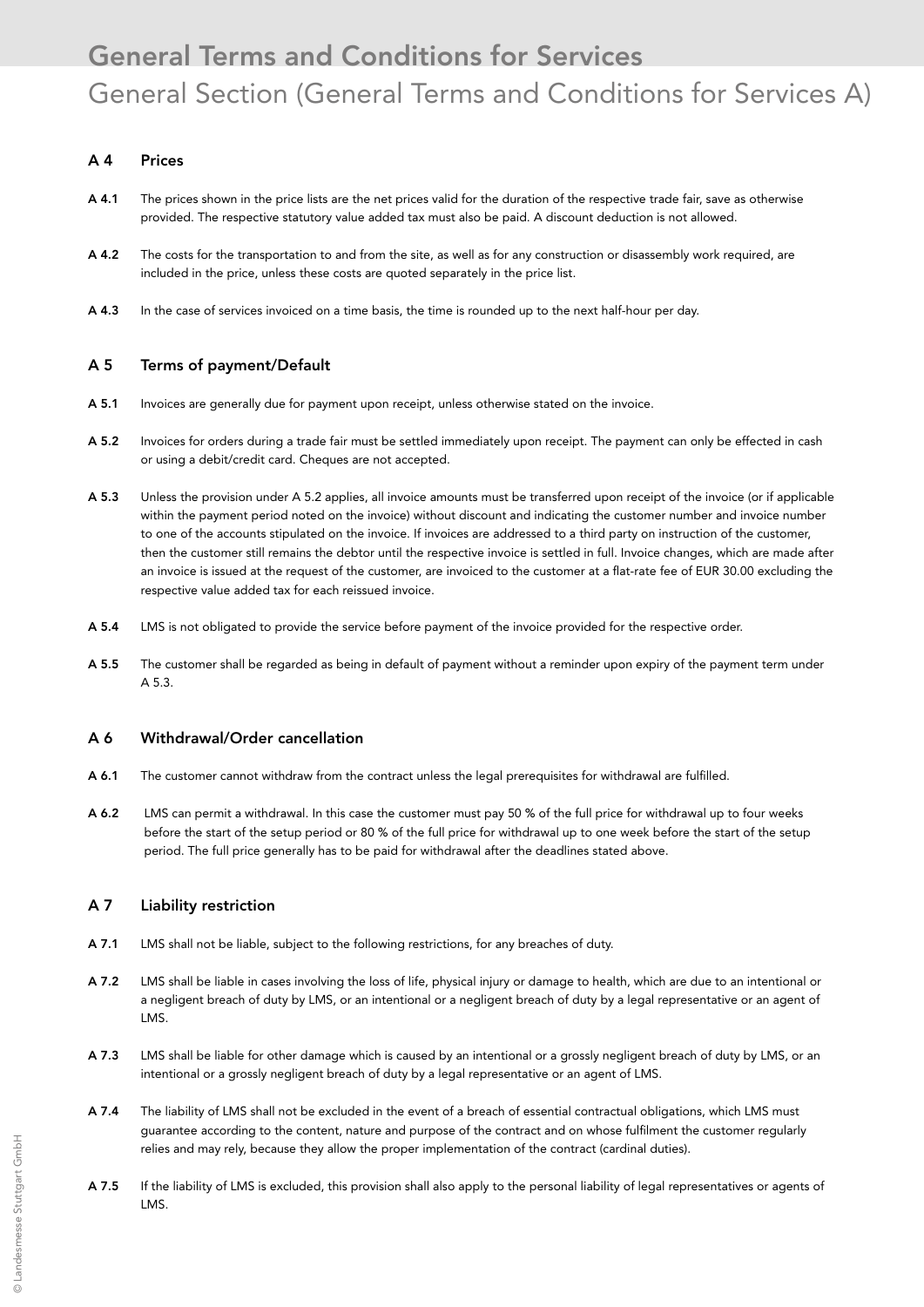### A 4 Prices

- A 4.1 The prices shown in the price lists are the net prices valid for the duration of the respective trade fair, save as otherwise provided. The respective statutory value added tax must also be paid. A discount deduction is not allowed.
- A 4.2 The costs for the transportation to and from the site, as well as for any construction or disassembly work required, are included in the price, unless these costs are quoted separately in the price list.
- A 4.3 In the case of services invoiced on a time basis, the time is rounded up to the next half-hour per day.

### A 5 Terms of payment/Default

- A 5.1 Invoices are generally due for payment upon receipt, unless otherwise stated on the invoice.
- A 5.2 Invoices for orders during a trade fair must be settled immediately upon receipt. The payment can only be effected in cash or using a debit/credit card. Cheques are not accepted.
- A 5.3 Unless the provision under A 5.2 applies, all invoice amounts must be transferred upon receipt of the invoice (or if applicable within the payment period noted on the invoice) without discount and indicating the customer number and invoice number to one of the accounts stipulated on the invoice. If invoices are addressed to a third party on instruction of the customer, then the customer still remains the debtor until the respective invoice is settled in full. Invoice changes, which are made after an invoice is issued at the request of the customer, are invoiced to the customer at a flat-rate fee of EUR 30.00 excluding the respective value added tax for each reissued invoice.
- A 5.4 LMS is not obligated to provide the service before payment of the invoice provided for the respective order.
- A 5.5 The customer shall be regarded as being in default of payment without a reminder upon expiry of the payment term under A 5.3.

#### A 6 Withdrawal/Order cancellation

- A 6.1 The customer cannot withdraw from the contract unless the legal prerequisites for withdrawal are fulfilled.
- A 6.2 LMS can permit a withdrawal. In this case the customer must pay 50 % of the full price for withdrawal up to four weeks before the start of the setup period or 80 % of the full price for withdrawal up to one week before the start of the setup period. The full price generally has to be paid for withdrawal after the deadlines stated above.

### A 7 Liability restriction

- A 7.1 LMS shall not be liable, subject to the following restrictions, for any breaches of duty.
- A 7.2 LMS shall be liable in cases involving the loss of life, physical injury or damage to health, which are due to an intentional or a negligent breach of duty by LMS, or an intentional or a negligent breach of duty by a legal representative or an agent of LMS.
- A 7.3 LMS shall be liable for other damage which is caused by an intentional or a grossly negligent breach of duty by LMS, or an intentional or a grossly negligent breach of duty by a legal representative or an agent of LMS.
- A 7.4 The liability of LMS shall not be excluded in the event of a breach of essential contractual obligations, which LMS must guarantee according to the content, nature and purpose of the contract and on whose fulfilment the customer regularly relies and may rely, because they allow the proper implementation of the contract (cardinal duties).
- A 7.5 If the liability of LMS is excluded, this provision shall also apply to the personal liability of legal representatives or agents of LMS.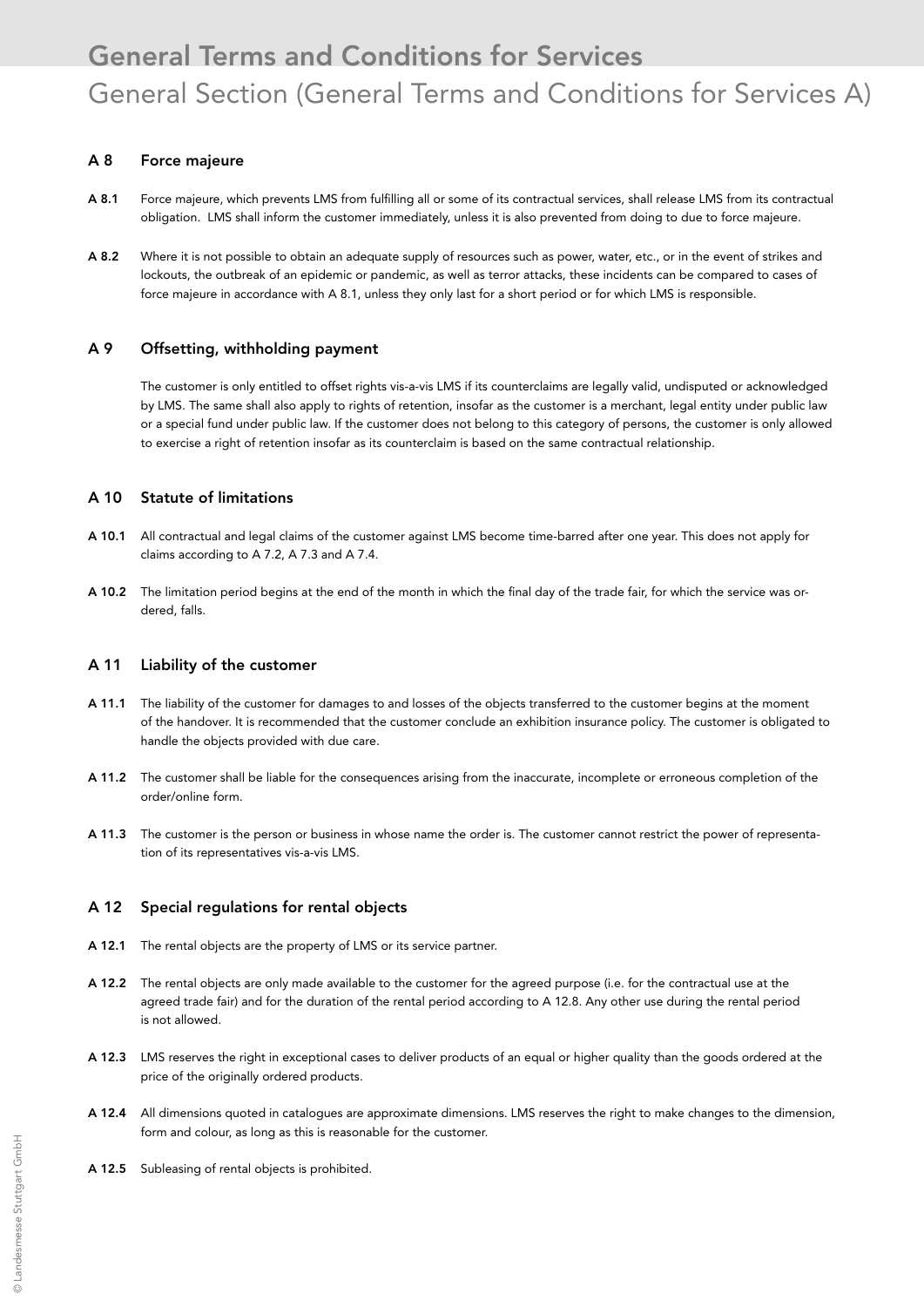### A 8 Force majeure

- A 8.1 Force majeure, which prevents LMS from fulfilling all or some of its contractual services, shall release LMS from its contractual obligation. LMS shall inform the customer immediately, unless it is also prevented from doing to due to force majeure.
- A 8.2 Where it is not possible to obtain an adequate supply of resources such as power, water, etc., or in the event of strikes and lockouts, the outbreak of an epidemic or pandemic, as well as terror attacks, these incidents can be compared to cases of force majeure in accordance with A 8.1, unless they only last for a short period or for which LMS is responsible.

#### A 9 Offsetting, withholding payment

 The customer is only entitled to offset rights vis-a-vis LMS if its counterclaims are legally valid, undisputed or acknowledged by LMS. The same shall also apply to rights of retention, insofar as the customer is a merchant, legal entity under public law or a special fund under public law. If the customer does not belong to this category of persons, the customer is only allowed to exercise a right of retention insofar as its counterclaim is based on the same contractual relationship.

#### A 10 Statute of limitations

- A 10.1 All contractual and legal claims of the customer against LMS become time-barred after one year. This does not apply for claims according to A 7.2, A 7.3 and A 7.4.
- A 10.2 The limitation period begins at the end of the month in which the final day of the trade fair, for which the service was ordered, falls.

#### A 11 Liability of the customer

- A 11.1 The liability of the customer for damages to and losses of the objects transferred to the customer begins at the moment of the handover. It is recommended that the customer conclude an exhibition insurance policy. The customer is obligated to handle the objects provided with due care.
- A 11.2 The customer shall be liable for the consequences arising from the inaccurate, incomplete or erroneous completion of the order/online form.
- A 11.3 The customer is the person or business in whose name the order is. The customer cannot restrict the power of representation of its representatives vis-a-vis LMS.

#### A 12 Special regulations for rental objects

- A 12.1 The rental objects are the property of LMS or its service partner.
- A 12.2 The rental objects are only made available to the customer for the agreed purpose (i.e. for the contractual use at the agreed trade fair) and for the duration of the rental period according to A 12.8. Any other use during the rental period is not allowed.
- A 12.3 LMS reserves the right in exceptional cases to deliver products of an equal or higher quality than the goods ordered at the price of the originally ordered products.
- A 12.4 All dimensions quoted in catalogues are approximate dimensions. LMS reserves the right to make changes to the dimension, form and colour, as long as this is reasonable for the customer.
- A 12.5 Subleasing of rental objects is prohibited.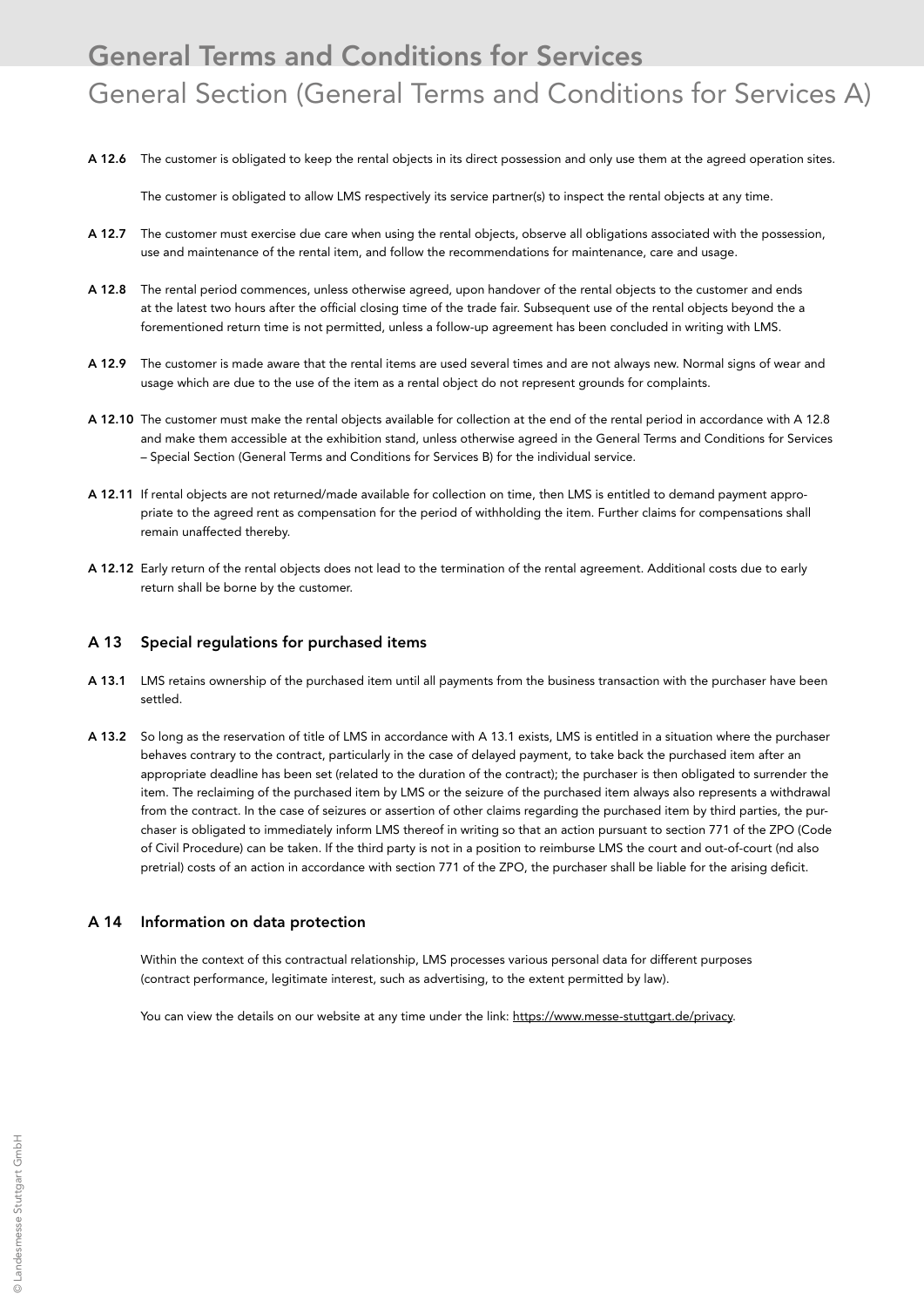A 12.6 The customer is obligated to keep the rental objects in its direct possession and only use them at the agreed operation sites.

The customer is obligated to allow LMS respectively its service partner(s) to inspect the rental objects at any time.

- A 12.7 The customer must exercise due care when using the rental objects, observe all obligations associated with the possession, use and maintenance of the rental item, and follow the recommendations for maintenance, care and usage.
- A 12.8 The rental period commences, unless otherwise agreed, upon handover of the rental objects to the customer and ends at the latest two hours after the official closing time of the trade fair. Subsequent use of the rental objects beyond the a forementioned return time is not permitted, unless a follow-up agreement has been concluded in writing with LMS.
- A 12.9 The customer is made aware that the rental items are used several times and are not always new. Normal signs of wear and usage which are due to the use of the item as a rental object do not represent grounds for complaints.
- A 12.10 The customer must make the rental objects available for collection at the end of the rental period in accordance with A 12.8 and make them accessible at the exhibition stand, unless otherwise agreed in the General Terms and Conditions for Services – Special Section (General Terms and Conditions for Services B) for the individual service.
- A 12.11 If rental objects are not returned/made available for collection on time, then LMS is entitled to demand payment appropriate to the agreed rent as compensation for the period of withholding the item. Further claims for compensations shall remain unaffected thereby.
- A 12.12 Early return of the rental objects does not lead to the termination of the rental agreement. Additional costs due to early return shall be borne by the customer.

#### A 13 Special regulations for purchased items

- A 13.1 LMS retains ownership of the purchased item until all payments from the business transaction with the purchaser have been settled.
- A 13.2 So long as the reservation of title of LMS in accordance with A 13.1 exists, LMS is entitled in a situation where the purchaser behaves contrary to the contract, particularly in the case of delayed payment, to take back the purchased item after an appropriate deadline has been set (related to the duration of the contract); the purchaser is then obligated to surrender the item. The reclaiming of the purchased item by LMS or the seizure of the purchased item always also represents a withdrawal from the contract. In the case of seizures or assertion of other claims regarding the purchased item by third parties, the purchaser is obligated to immediately inform LMS thereof in writing so that an action pursuant to section 771 of the ZPO (Code of Civil Procedure) can be taken. If the third party is not in a position to reimburse LMS the court and out-of-court (nd also pretrial) costs of an action in accordance with section 771 of the ZPO, the purchaser shall be liable for the arising deficit.

#### A 14 Information on data protection

 Within the context of this contractual relationship, LMS processes various personal data for different purposes (contract performance, legitimate interest, such as advertising, to the extent permitted by law).

You can view the details on our website at any time under the link: https://www.messe-stuttgart.de/privacy.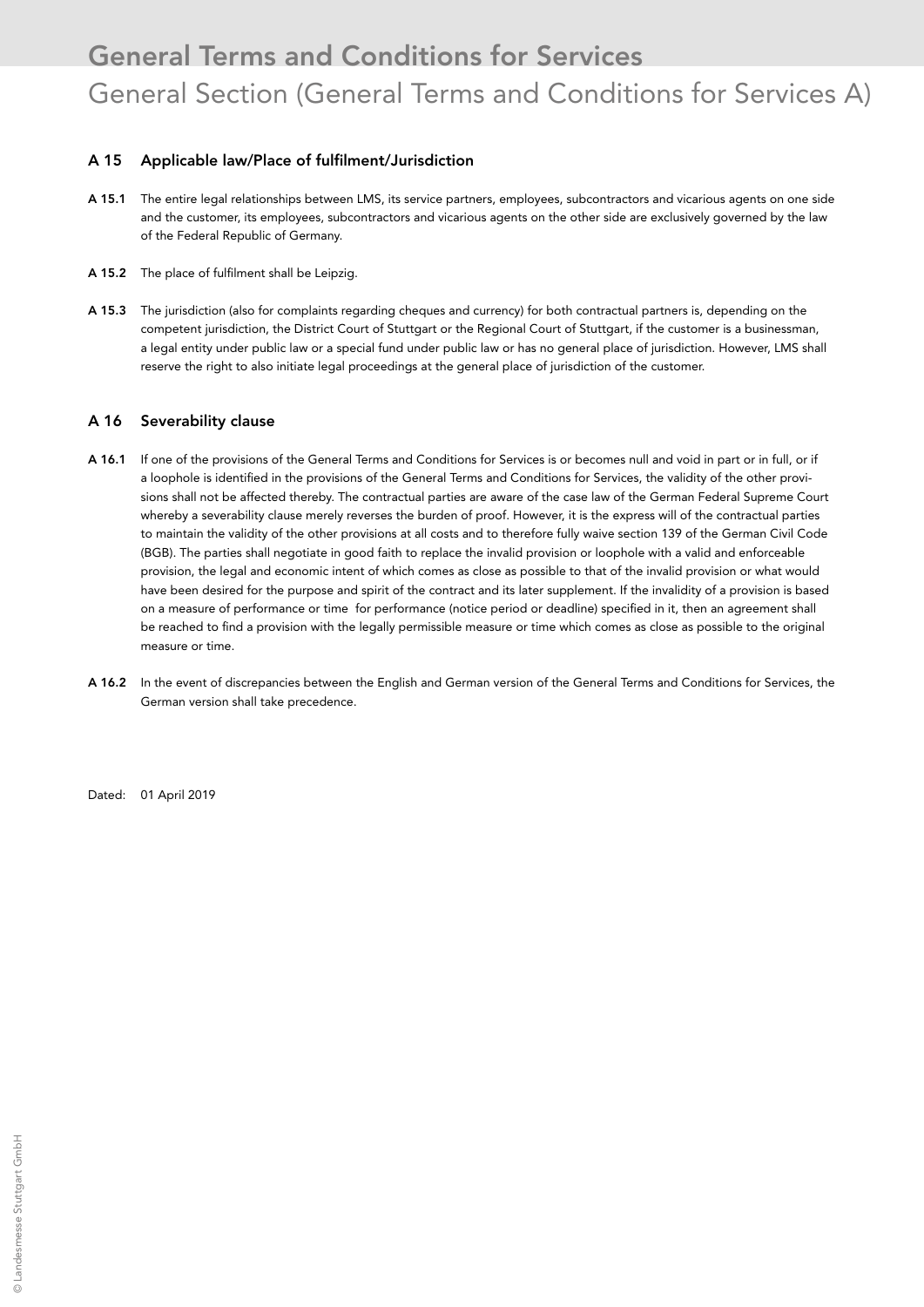### A 15 Applicable law/Place of fulfilment/Jurisdiction

- A 15.1 The entire legal relationships between LMS, its service partners, employees, subcontractors and vicarious agents on one side and the customer, its employees, subcontractors and vicarious agents on the other side are exclusively governed by the law of the Federal Republic of Germany.
- A 15.2 The place of fulfilment shall be Leipzig.
- A 15.3 The jurisdiction (also for complaints regarding cheques and currency) for both contractual partners is, depending on the competent jurisdiction, the District Court of Stuttgart or the Regional Court of Stuttgart, if the customer is a businessman, a legal entity under public law or a special fund under public law or has no general place of jurisdiction. However, LMS shall reserve the right to also initiate legal proceedings at the general place of jurisdiction of the customer.

#### A 16 Severability clause

- A 16.1 If one of the provisions of the General Terms and Conditions for Services is or becomes null and void in part or in full, or if a loophole is identified in the provisions of the General Terms and Conditions for Services, the validity of the other provisions shall not be affected thereby. The contractual parties are aware of the case law of the German Federal Supreme Court whereby a severability clause merely reverses the burden of proof. However, it is the express will of the contractual parties to maintain the validity of the other provisions at all costs and to therefore fully waive section 139 of the German Civil Code (BGB). The parties shall negotiate in good faith to replace the invalid provision or loophole with a valid and enforceable provision, the legal and economic intent of which comes as close as possible to that of the invalid provision or what would have been desired for the purpose and spirit of the contract and its later supplement. If the invalidity of a provision is based on a measure of performance or time for performance (notice period or deadline) specified in it, then an agreement shall be reached to find a provision with the legally permissible measure or time which comes as close as possible to the original measure or time.
- A 16.2 In the event of discrepancies between the English and German version of the General Terms and Conditions for Services, the German version shall take precedence.

Dated: 01 April 2019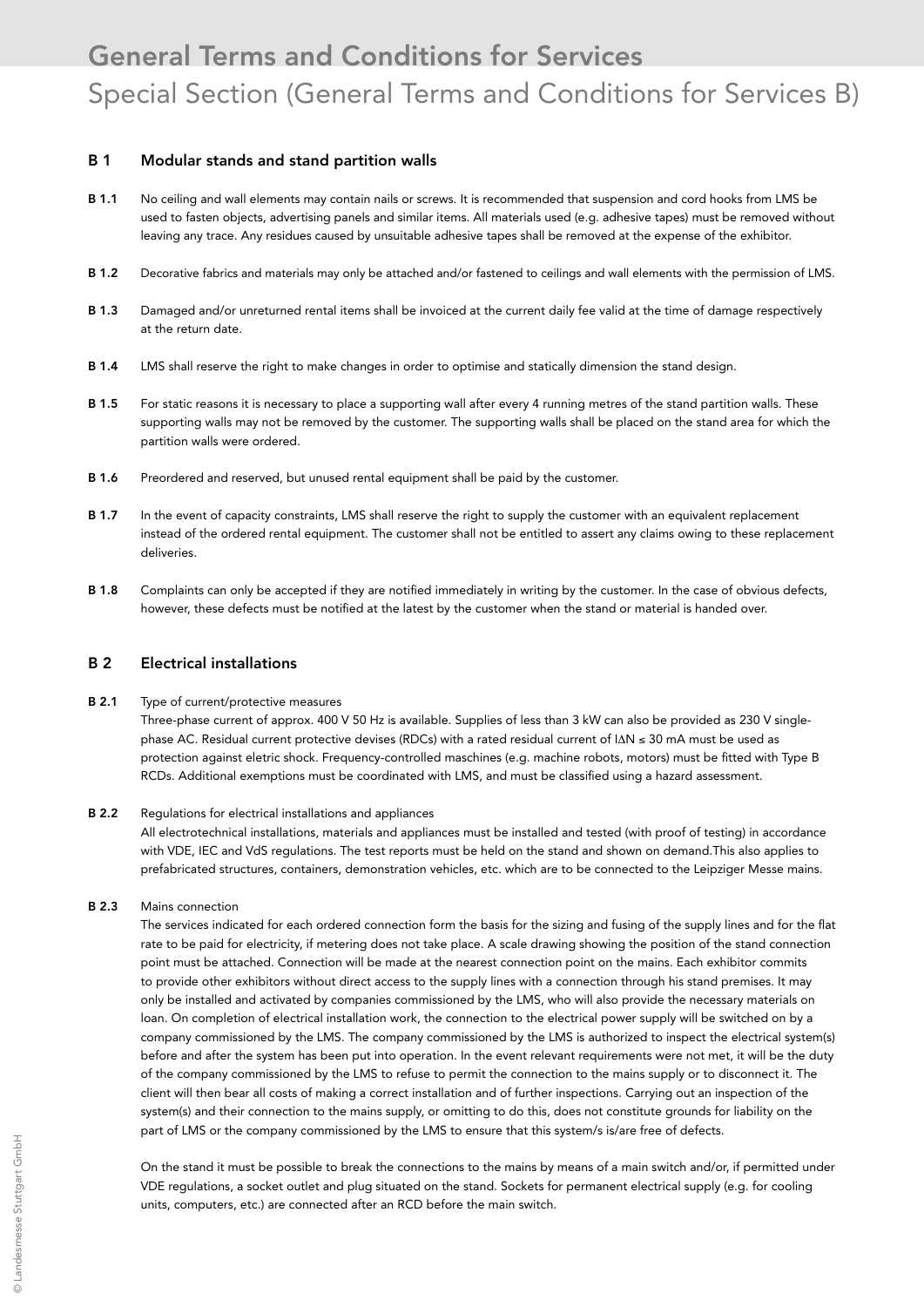#### B 1 Modular stands and stand partition walls

- B 1.1 No ceiling and wall elements may contain nails or screws. It is recommended that suspension and cord hooks from LMS be used to fasten objects, advertising panels and similar items. All materials used (e.g. adhesive tapes) must be removed without leaving any trace. Any residues caused by unsuitable adhesive tapes shall be removed at the expense of the exhibitor.
- B 1.2 Decorative fabrics and materials may only be attached and/or fastened to ceilings and wall elements with the permission of LMS.
- B 1.3 Damaged and/or unreturned rental items shall be invoiced at the current daily fee valid at the time of damage respectively at the return date.
- B 1.4 LMS shall reserve the right to make changes in order to optimise and statically dimension the stand design.
- B 1.5 For static reasons it is necessary to place a supporting wall after every 4 running metres of the stand partition walls. These supporting walls may not be removed by the customer. The supporting walls shall be placed on the stand area for which the partition walls were ordered.
- B 1.6 Preordered and reserved, but unused rental equipment shall be paid by the customer.
- B 1.7 In the event of capacity constraints, LMS shall reserve the right to supply the customer with an equivalent replacement instead of the ordered rental equipment. The customer shall not be entitled to assert any claims owing to these replacement deliveries.
- B 1.8 Complaints can only be accepted if they are notified immediately in writing by the customer. In the case of obvious defects, however, these defects must be notified at the latest by the customer when the stand or material is handed over.

### B 2 Electrical installations

#### B 2.1 Type of current/protective measures

Three-phase current of approx. 400 V 50 Hz is available. Supplies of less than 3 kW can also be provided as 230 V singlephase AC. Residual current protective devises (RDCs) with a rated residual current of I∆N ≤ 30 mA must be used as protection against eletric shock. Frequency-controlled maschines (e.g. machine robots, motors) must be fitted with Type B RCDs. Additional exemptions must be coordinated with LMS, and must be classified using a hazard assessment.

#### B 2.2 Regulations for electrical installations and appliances

 All electrotechnical installations, materials and appliances must be installed and tested (with proof of testing) in accordance with VDE, IEC and VdS regulations. The test reports must be held on the stand and shown on demand.This also applies to prefabricated structures, containers, demonstration vehicles, etc. which are to be connected to the Leipziger Messe mains.

#### B 2.3 Mains connection

 The services indicated for each ordered connection form the basis for the sizing and fusing of the supply lines and for the flat rate to be paid for electricity, if metering does not take place. A scale drawing showing the position of the stand connection point must be attached. Connection will be made at the nearest connection point on the mains. Each exhibitor commits to provide other exhibitors without direct access to the supply lines with a connection through his stand premises. It may only be installed and activated by companies commissioned by the LMS, who will also provide the necessary materials on loan. On completion of electrical installation work, the connection to the electrical power supply will be switched on by a company commissioned by the LMS. The company commissioned by the LMS is authorized to inspect the electrical system(s) before and after the system has been put into operation. In the event relevant requirements were not met, it will be the duty of the company commissioned by the LMS to refuse to permit the connection to the mains supply or to disconnect it. The client will then bear all costs of making a correct installation and of further inspections. Carrying out an inspection of the system(s) and their connection to the mains supply, or omitting to do this, does not constitute grounds for liability on the part of LMS or the company commissioned by the LMS to ensure that this system/s is/are free of defects.

 On the stand it must be possible to break the connections to the mains by means of a main switch and/or, if permitted under VDE regulations, a socket outlet and plug situated on the stand. Sockets for permanent electrical supply (e.g. for cooling units, computers, etc.) are connected after an RCD before the main switch.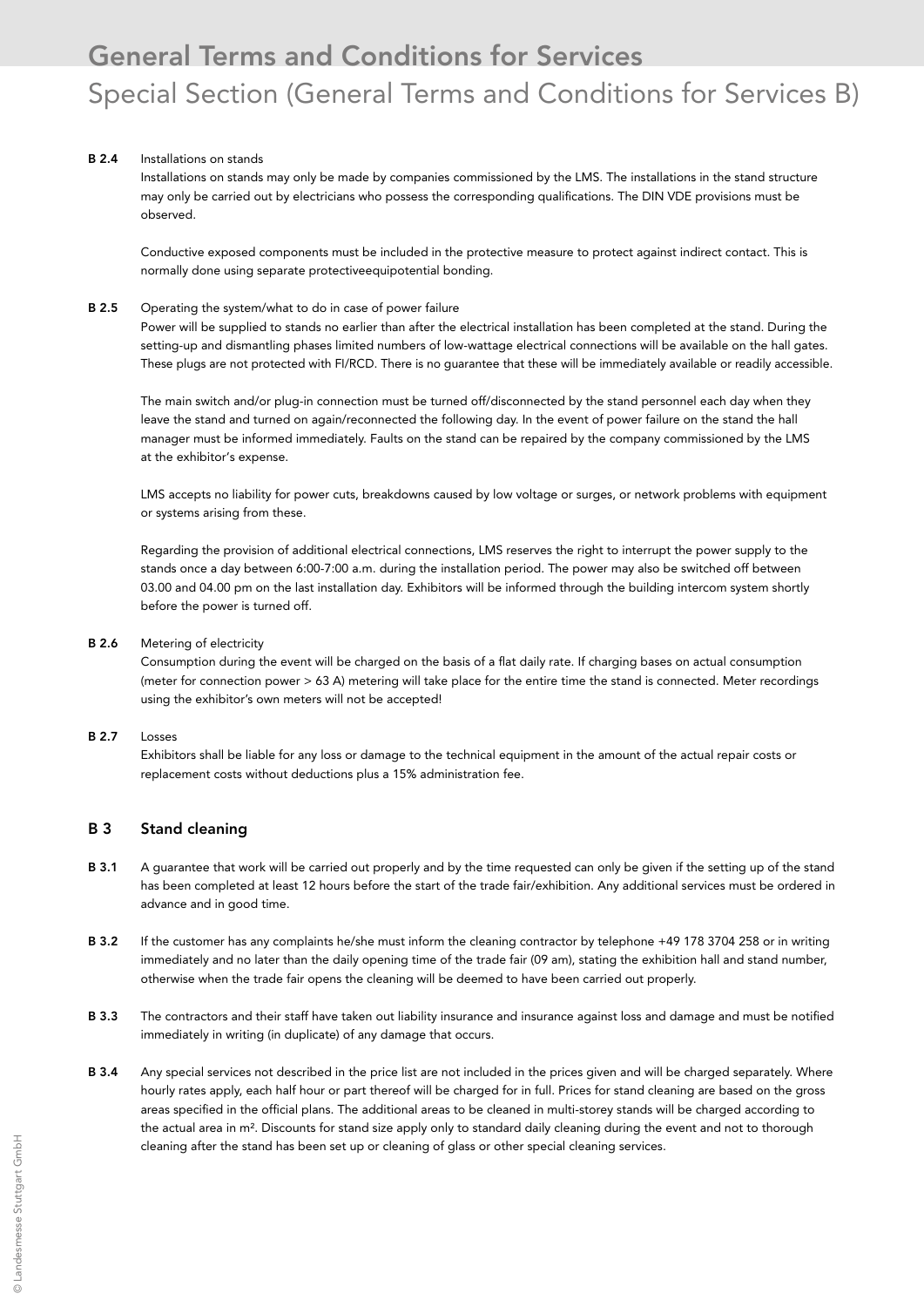#### B 2.4 Installations on stands

 Installations on stands may only be made by companies commissioned by the LMS. The installations in the stand structure may only be carried out by electricians who possess the corresponding qualifications. The DIN VDE provisions must be observed.

 Conductive exposed components must be included in the protective measure to protect against indirect contact. This is normally done using separate protectiveequipotential bonding.

#### B 2.5 Operating the system/what to do in case of power failure

 Power will be supplied to stands no earlier than after the electrical installation has been completed at the stand. During the setting-up and dismantling phases limited numbers of low-wattage electrical connections will be available on the hall gates. These plugs are not protected with FI/RCD. There is no guarantee that these will be immediately available or readily accessible.

 The main switch and/or plug-in connection must be turned off/disconnected by the stand personnel each day when they leave the stand and turned on again/reconnected the following day. In the event of power failure on the stand the hall manager must be informed immediately. Faults on the stand can be repaired by the company commissioned by the LMS at the exhibitor's expense.

 LMS accepts no liability for power cuts, breakdowns caused by low voltage or surges, or network problems with equipment or systems arising from these.

 Regarding the provision of additional electrical connections, LMS reserves the right to interrupt the power supply to the stands once a day between 6:00-7:00 a.m. during the installation period. The power may also be switched off between 03.00 and 04.00 pm on the last installation day. Exhibitors will be informed through the building intercom system shortly before the power is turned off.

#### B 2.6 Metering of electricity

 Consumption during the event will be charged on the basis of a flat daily rate. If charging bases on actual consumption (meter for connection power > 63 A) metering will take place for the entire time the stand is connected. Meter recordings using the exhibitor's own meters will not be accepted!

#### B 2.7 Losses

 Exhibitors shall be liable for any loss or damage to the technical equipment in the amount of the actual repair costs or replacement costs without deductions plus a 15% administration fee.

### B 3 Stand cleaning

- B 3.1 A guarantee that work will be carried out properly and by the time requested can only be given if the setting up of the stand has been completed at least 12 hours before the start of the trade fair/exhibition. Any additional services must be ordered in advance and in good time.
- B 3.2 If the customer has any complaints he/she must inform the cleaning contractor by telephone +49 178 3704 258 or in writing immediately and no later than the daily opening time of the trade fair (09 am), stating the exhibition hall and stand number, otherwise when the trade fair opens the cleaning will be deemed to have been carried out properly.
- B 3.3 The contractors and their staff have taken out liability insurance and insurance against loss and damage and must be notified immediately in writing (in duplicate) of any damage that occurs.
- B 3.4 Any special services not described in the price list are not included in the prices given and will be charged separately. Where hourly rates apply, each half hour or part thereof will be charged for in full. Prices for stand cleaning are based on the gross areas specified in the official plans. The additional areas to be cleaned in multi-storey stands will be charged according to the actual area in m². Discounts for stand size apply only to standard daily cleaning during the event and not to thorough cleaning after the stand has been set up or cleaning of glass or other special cleaning services.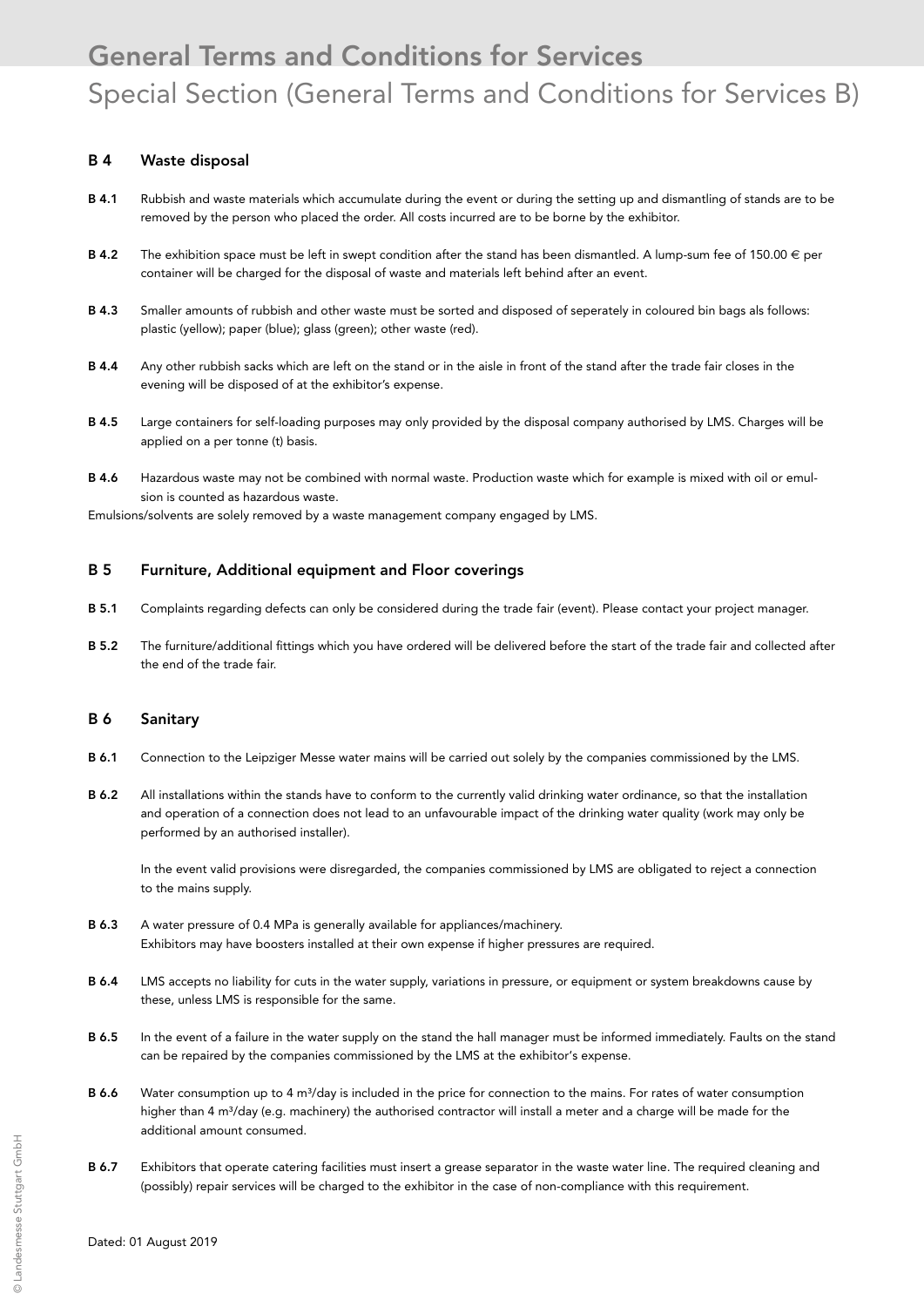### B 4 Waste disposal

- B 4.1 Rubbish and waste materials which accumulate during the event or during the setting up and dismantling of stands are to be removed by the person who placed the order. All costs incurred are to be borne by the exhibitor.
- **B 4.2** The exhibition space must be left in swept condition after the stand has been dismantled. A lump-sum fee of 150.00  $\in$  per container will be charged for the disposal of waste and materials left behind after an event.
- B 4.3 Smaller amounts of rubbish and other waste must be sorted and disposed of seperately in coloured bin bags als follows: plastic (yellow); paper (blue); glass (green); other waste (red).
- B 4.4 Any other rubbish sacks which are left on the stand or in the aisle in front of the stand after the trade fair closes in the evening will be disposed of at the exhibitor's expense.
- B 4.5 Large containers for self-loading purposes may only provided by the disposal company authorised by LMS. Charges will be applied on a per tonne (t) basis.
- B 4.6 Hazardous waste may not be combined with normal waste. Production waste which for example is mixed with oil or emulsion is counted as hazardous waste.

Emulsions/solvents are solely removed by a waste management company engaged by LMS.

#### B 5 Furniture, Additional equipment and Floor coverings

- B 5.1 Complaints regarding defects can only be considered during the trade fair (event). Please contact your project manager.
- B 5.2 The furniture/additional fittings which you have ordered will be delivered before the start of the trade fair and collected after the end of the trade fair.

#### B 6 Sanitary

- B 6.1 Connection to the Leipziger Messe water mains will be carried out solely by the companies commissioned by the LMS.
- B 6.2 All installations within the stands have to conform to the currently valid drinking water ordinance, so that the installation and operation of a connection does not lead to an unfavourable impact of the drinking water quality (work may only be performed by an authorised installer).

 In the event valid provisions were disregarded, the companies commissioned by LMS are obligated to reject a connection to the mains supply.

- B 6.3 A water pressure of 0.4 MPa is generally available for appliances/machinery. Exhibitors may have boosters installed at their own expense if higher pressures are required.
- B 6.4 LMS accepts no liability for cuts in the water supply, variations in pressure, or equipment or system breakdowns cause by these, unless LMS is responsible for the same.
- B 6.5 In the event of a failure in the water supply on the stand the hall manager must be informed immediately. Faults on the stand can be repaired by the companies commissioned by the LMS at the exhibitor's expense.
- B 6.6 Water consumption up to 4 m<sup>3</sup>/day is included in the price for connection to the mains. For rates of water consumption higher than 4 m<sup>3</sup>/day (e.g. machinery) the authorised contractor will install a meter and a charge will be made for the additional amount consumed.
- B 6.7 Exhibitors that operate catering facilities must insert a grease separator in the waste water line. The required cleaning and (possibly) repair services will be charged to the exhibitor in the case of non-compliance with this requirement.